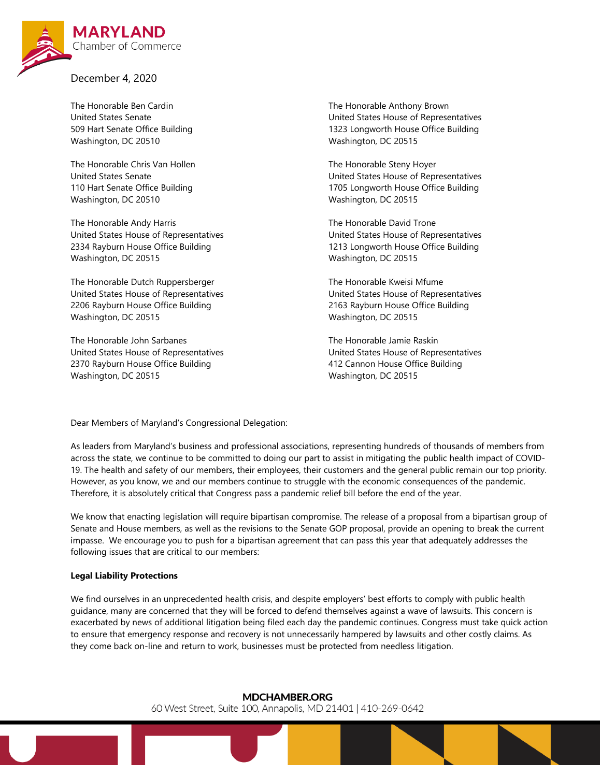

December 4, 2020

The Honorable Ben Cardin United States Senate 509 Hart Senate Office Building Washington, DC 20510

The Honorable Chris Van Hollen United States Senate 110 Hart Senate Office Building Washington, DC 20510

The Honorable Andy Harris United States House of Representatives 2334 Rayburn House Office Building Washington, DC 20515

The Honorable Dutch Ruppersberger United States House of Representatives 2206 Rayburn House Office Building Washington, DC 20515

The Honorable John Sarbanes United States House of Representatives 2370 Rayburn House Office Building Washington, DC 20515

The Honorable Anthony Brown United States House of Representatives 1323 Longworth House Office Building Washington, DC 20515

The Honorable Steny Hoyer United States House of Representatives 1705 Longworth House Office Building Washington, DC 20515

The Honorable David Trone United States House of Representatives 1213 Longworth House Office Building Washington, DC 20515

The Honorable Kweisi Mfume United States House of Representatives 2163 Rayburn House Office Building Washington, DC 20515

The Honorable Jamie Raskin United States House of Representatives 412 Cannon House Office Building Washington, DC 20515

Dear Members of Maryland's Congressional Delegation:

As leaders from Maryland's business and professional associations, representing hundreds of thousands of members from across the state, we continue to be committed to doing our part to assist in mitigating the public health impact of COVID-19. The health and safety of our members, their employees, their customers and the general public remain our top priority. However, as you know, we and our members continue to struggle with the economic consequences of the pandemic. Therefore, it is absolutely critical that Congress pass a pandemic relief bill before the end of the year.

We know that enacting legislation will require bipartisan compromise. The release of a proposal from a bipartisan group of Senate and House members, as well as the revisions to the Senate GOP proposal, provide an opening to break the current impasse. We encourage you to push for a bipartisan agreement that can pass this year that adequately addresses the following issues that are critical to our members:

# **Legal Liability Protections**

We find ourselves in an unprecedented health crisis, and despite employers' best efforts to comply with public health guidance, many are concerned that they will be forced to defend themselves against a wave of lawsuits. This concern is exacerbated by news of additional litigation being filed each day the pandemic continues. Congress must take quick action to ensure that emergency response and recovery is not unnecessarily hampered by lawsuits and other costly claims. As they come back on-line and return to work, businesses must be protected from needless litigation.

**MDCHAMBER.ORG** 

60 West Street, Suite 100, Annapolis, MD 21401 | 410-269-0642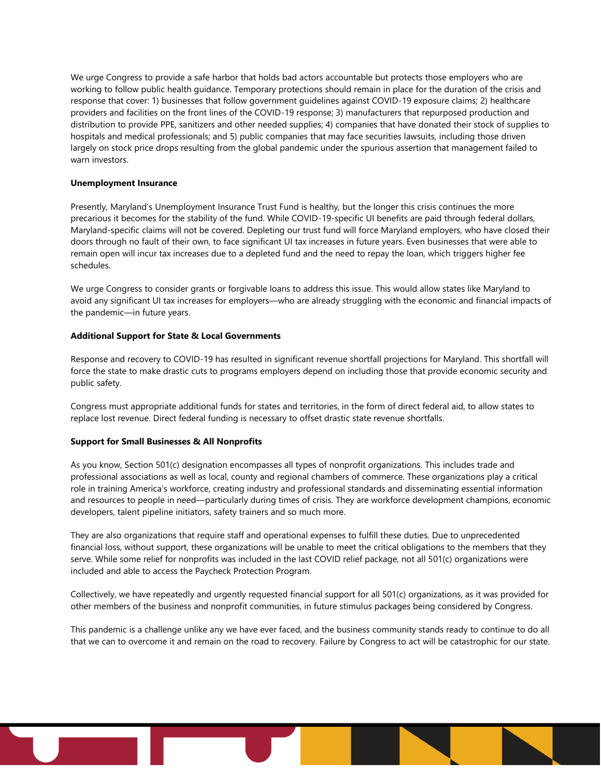We urge Congress to provide a safe harbor that holds bad actors accountable but protects those employers who are working to follow public health guidance. Temporary protections should remain in place for the duration of the crisis and response that cover: 1) businesses that follow government guidelines against COVID-19 exposure claims; 2) healthcare providers and facilities on the front lines of the COVID-19 response; 3) manufacturers that repurposed production and distribution to provide PPE, sanitizers and other needed supplies; 4) companies that have donated their stock of supplies to hospitals and medical professionals; and 5) public companies that may face securities lawsuits, including those driven largely on stock price drops resulting from the global pandemic under the spurious assertion that management failed to warn investors.

#### **Unemployment Insurance**

Presently, Maryland's Unemployment Insurance Trust Fund is healthy, but the longer this crisis continues the more precarious it becomes for the stability of the fund. While COVID-19-specific UI benefits are paid through federal dollars, Maryland-specific claims will not be covered. Depleting our trust fund will force Maryland employers, who have closed their doors through no fault of their own, to face significant UI tax increases in future years. Even businesses that were able to remain open will incur tax increases due to a depleted fund and the need to repay the loan, which triggers higher fee schedules.

We urge Congress to consider grants or forgivable loans to address this issue. This would allow states like Maryland to avoid any significant UI tax increases for employers—who are already struggling with the economic and financial impacts of the pandemic—in future years.

### **Additional Support for State & Local Governments**

Response and recovery to COVID-19 has resulted in significant revenue shortfall projections for Maryland. This shortfall will force the state to make drastic cuts to programs employers depend on including those that provide economic security and public safety.

Congress must appropriate additional funds for states and territories, in the form of direct federal aid, to allow states to replace lost revenue. Direct federal funding is necessary to offset drastic state revenue shortfalls.

### **Support for Small Businesses & All Nonprofits**

As you know, Section 501(c) designation encompasses all types of nonprofit organizations. This includes trade and professional associations as well as local, county and regional chambers of commerce. These organizations play a critical role in training America's workforce, creating industry and professional standards and disseminating essential information and resources to people in need—particularly during times of crisis. They are workforce development champions, economic developers, talent pipeline initiators, safety trainers and so much more.

They are also organizations that require staff and operational expenses to fulfill these duties. Due to unprecedented financial loss, without support, these organizations will be unable to meet the critical obligations to the members that they serve. While some relief for nonprofits was included in the last COVID relief package, not all 501(c) organizations were included and able to access the Paycheck Protection Program.

Collectively, we have repeatedly and urgently requested financial support for all 501(c) organizations, as it was provided for other members of the business and nonprofit communities, in future stimulus packages being considered by Congress.

This pandemic is a challenge unlike any we have ever faced, and the business community stands ready to continue to do all that we can to overcome it and remain on the road to recovery. Failure by Congress to act will be catastrophic for our state.